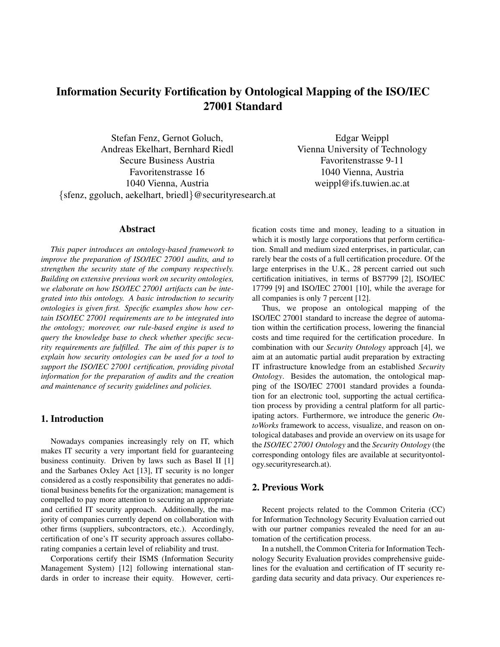# Information Security Fortification by Ontological Mapping of the ISO/IEC 27001 Standard

Stefan Fenz, Gernot Goluch, Andreas Ekelhart, Bernhard Riedl Secure Business Austria Favoritenstrasse 16 1040 Vienna, Austria {sfenz, ggoluch, aekelhart, briedl}@securityresearch.at

Edgar Weippl Vienna University of Technology Favoritenstrasse 9-11 1040 Vienna, Austria weippl@ifs.tuwien.ac.at

## Abstract

*This paper introduces an ontology-based framework to improve the preparation of ISO/IEC 27001 audits, and to strengthen the security state of the company respectively. Building on extensive previous work on security ontologies, we elaborate on how ISO/IEC 27001 artifacts can be integrated into this ontology. A basic introduction to security ontologies is given first. Specific examples show how certain ISO/IEC 27001 requirements are to be integrated into the ontology; moreover, our rule-based engine is used to query the knowledge base to check whether specific security requirements are fulfilled. The aim of this paper is to explain how security ontologies can be used for a tool to support the ISO/IEC 27001 certification, providing pivotal information for the preparation of audits and the creation and maintenance of security guidelines and policies.*

## 1. Introduction

Nowadays companies increasingly rely on IT, which makes IT security a very important field for guaranteeing business continuity. Driven by laws such as Basel II [1] and the Sarbanes Oxley Act [13], IT security is no longer considered as a costly responsibility that generates no additional business benefits for the organization; management is compelled to pay more attention to securing an appropriate and certified IT security approach. Additionally, the majority of companies currently depend on collaboration with other firms (suppliers, subcontractors, etc.). Accordingly, certification of one's IT security approach assures collaborating companies a certain level of reliability and trust.

Corporations certify their ISMS (Information Security Management System) [12] following international standards in order to increase their equity. However, certification costs time and money, leading to a situation in which it is mostly large corporations that perform certification. Small and medium sized enterprises, in particular, can rarely bear the costs of a full certification procedure. Of the large enterprises in the U.K., 28 percent carried out such certification initiatives, in terms of BS7799 [2], ISO/IEC 17799 [9] and ISO/IEC 27001 [10], while the average for all companies is only 7 percent [12].

Thus, we propose an ontological mapping of the ISO/IEC 27001 standard to increase the degree of automation within the certification process, lowering the financial costs and time required for the certification procedure. In combination with our *Security Ontology* approach [4], we aim at an automatic partial audit preparation by extracting IT infrastructure knowledge from an established *Security Ontology*. Besides the automation, the ontological mapping of the ISO/IEC 27001 standard provides a foundation for an electronic tool, supporting the actual certification process by providing a central platform for all participating actors. Furthermore, we introduce the generic *OntoWorks* framework to access, visualize, and reason on ontological databases and provide an overview on its usage for the *ISO/IEC 27001 Ontology* and the *Security Ontology* (the corresponding ontology files are available at securityontology.securityresearch.at).

## 2. Previous Work

Recent projects related to the Common Criteria (CC) for Information Technology Security Evaluation carried out with our partner companies revealed the need for an automation of the certification process.

In a nutshell, the Common Criteria for Information Technology Security Evaluation provides comprehensive guidelines for the evaluation and certification of IT security regarding data security and data privacy. Our experiences re-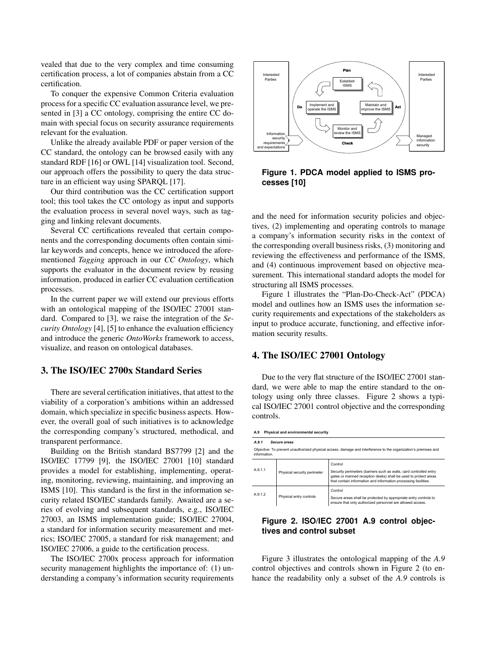vealed that due to the very complex and time consuming certification process, a lot of companies abstain from a CC certification.

To conquer the expensive Common Criteria evaluation process for a specific CC evaluation assurance level, we presented in [3] a CC ontology, comprising the entire CC domain with special focus on security assurance requirements relevant for the evaluation.

Unlike the already available PDF or paper version of the CC standard, the ontology can be browsed easily with any standard RDF [16] or OWL [14] visualization tool. Second, our approach offers the possibility to query the data structure in an efficient way using SPARQL [17].

Our third contribution was the CC certification support tool; this tool takes the CC ontology as input and supports the evaluation process in several novel ways, such as tagging and linking relevant documents.

Several CC certifications revealed that certain components and the corresponding documents often contain similar keywords and concepts, hence we introduced the aforementioned *Tagging* approach in our *CC Ontology*, which supports the evaluator in the document review by reusing information, produced in earlier CC evaluation certification processes.

In the current paper we will extend our previous efforts with an ontological mapping of the ISO/IEC 27001 standard. Compared to [3], we raise the integration of the *Security Ontology* [4], [5] to enhance the evaluation efficiency and introduce the generic *OntoWorks* framework to access, visualize, and reason on ontological databases.

## 3. The ISO/IEC 2700x Standard Series

There are several certification initiatives, that attest to the viability of a corporation's ambitions within an addressed domain, which specialize in specific business aspects. However, the overall goal of such initiatives is to acknowledge the corresponding company's structured, methodical, and transparent performance.

Building on the British standard BS7799 [2] and the ISO/IEC 17799 [9], the ISO/IEC 27001 [10] standard provides a model for establishing, implementing, operating, monitoring, reviewing, maintaining, and improving an ISMS [10]. This standard is the first in the information security related ISO/IEC standards family. Awaited are a series of evolving and subsequent standards, e.g., ISO/IEC 27003, an ISMS implementation guide; ISO/IEC 27004, a standard for information security measurement and metrics; ISO/IEC 27005, a standard for risk management; and ISO/IEC 27006, a guide to the certification process.

The ISO/IEC 2700x process approach for information security management highlights the importance of: (1) understanding a company's information security requirements



**Figure 1. PDCA model applied to ISMS processes [10]**

and the need for information security policies and objectives, (2) implementing and operating controls to manage a company's information security risks in the context of the corresponding overall business risks, (3) monitoring and reviewing the effectiveness and performance of the ISMS, and (4) continuous improvement based on objective measurement. This international standard adopts the model for structuring all ISMS processes.

Figure 1 illustrates the "Plan-Do-Check-Act" (PDCA) model and outlines how an ISMS uses the information security requirements and expectations of the stakeholders as input to produce accurate, functioning, and effective information security results.

#### 4. The ISO/IEC 27001 Ontology

Due to the very flat structure of the ISO/IEC 27001 standard, we were able to map the entire standard to the ontology using only three classes. Figure 2 shows a typical ISO/IEC 27001 control objective and the corresponding controls.

| Physical and environmental security<br>A.9 |                             |                                                                                                                                                                                                                     |  |  |
|--------------------------------------------|-----------------------------|---------------------------------------------------------------------------------------------------------------------------------------------------------------------------------------------------------------------|--|--|
| A.9.1                                      | Secure areas                |                                                                                                                                                                                                                     |  |  |
| information.                               |                             | Objective: To prevent unauthorized physical access, damage and interference to the organization's premises and                                                                                                      |  |  |
| A.9.1.1                                    | Physical security perimeter | Control<br>Security perimeters (barriers such as walls, card controlled entry<br>gates or manned reception desks) shall be used to protect areas<br>that contain information and information processing facilities. |  |  |
| A912                                       | Physical entry controls     | Control<br>Secure areas shall be protected by appropriate entry controls to<br>ensure that only authorized personnel are allowed access.                                                                            |  |  |

## **Figure 2. ISO/IEC 27001 A.9 control objectives and control subset**

Figure 3 illustrates the ontological mapping of the *A.9* control objectives and controls shown in Figure 2 (to enhance the readability only a subset of the *A.9* controls is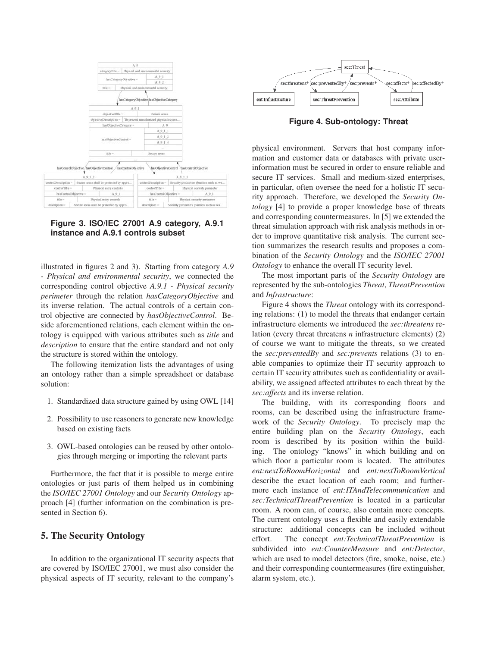

## **Figure 3. ISO/IEC 27001 A.9 category, A.9.1 instance and A.9.1 controls subset**

illustrated in figures 2 and 3). Starting from category *A.9 - Physical and environmental security*, we connected the corresponding control objective *A.9.1 - Physical security perimeter* through the relation *hasCategoryObjective* and its inverse relation. The actual controls of a certain control objective are connected by *hasObjectiveControl*. Beside aforementioned relations, each element within the ontology is equipped with various attributes such as *title* and *description* to ensure that the entire standard and not only the structure is stored within the ontology.

The following itemization lists the advantages of using an ontology rather than a simple spreadsheet or database solution:

- 1. Standardized data structure gained by using OWL [14]
- 2. Possibility to use reasoners to generate new knowledge based on existing facts
- 3. OWL-based ontologies can be reused by other ontologies through merging or importing the relevant parts

Furthermore, the fact that it is possible to merge entire ontologies or just parts of them helped us in combining the *ISO/IEC 27001 Ontology* and our *Security Ontology* approach [4] (further information on the combination is presented in Section 6).

## 5. The Security Ontology

In addition to the organizational IT security aspects that are covered by ISO/IEC 27001, we must also consider the physical aspects of IT security, relevant to the company's



**Figure 4. Sub-ontology: Threat**

physical environment. Servers that host company information and customer data or databases with private userinformation must be secured in order to ensure reliable and secure IT services. Small and medium-sized enterprises, in particular, often oversee the need for a holistic IT security approach. Therefore, we developed the *Security Ontology* [4] to provide a proper knowledge base of threats and corresponding countermeasures. In [5] we extended the threat simulation approach with risk analysis methods in order to improve quantitative risk analysis. The current section summarizes the research results and proposes a combination of the *Security Ontology* and the *ISO/IEC 27001 Ontology* to enhance the overall IT security level.

The most important parts of the *Security Ontology* are represented by the sub-ontologies *Threat*, *ThreatPrevention* and *Infrastructure*:

Figure 4 shows the *Threat* ontology with its corresponding relations: (1) to model the threats that endanger certain infrastructure elements we introduced the *sec:threatens* relation (every threat threatens *n* infrastructure elements) (2) of course we want to mitigate the threats, so we created the *sec:preventedBy* and *sec:prevents* relations (3) to enable companies to optimize their IT security approach to certain IT security attributes such as confidentiality or availability, we assigned affected attributes to each threat by the *sec:affects* and its inverse relation.

The building, with its corresponding floors and rooms, can be described using the infrastructure framework of the *Security Ontology*. To precisely map the entire building plan on the *Security Ontology*, each room is described by its position within the building. The ontology "knows" in which building and on which floor a particular room is located. The attributes *ent:nextToRoomHorizontal* and *ent:nextToRoomVertical* describe the exact location of each room; and furthermore each instance of *ent:ITAndTelecommunication* and *sec:TechnicalThreatPrevention* is located in a particular room. A room can, of course, also contain more concepts. The current ontology uses a flexible and easily extendable structure: additional concepts can be included without effort. The concept *ent:TechnicalThreatPrevention* is subdivided into *ent:CounterMeasure* and *ent:Detector*, which are used to model detectors (fire, smoke, noise, etc.) and their corresponding countermeasures (fire extinguisher, alarm system, etc.).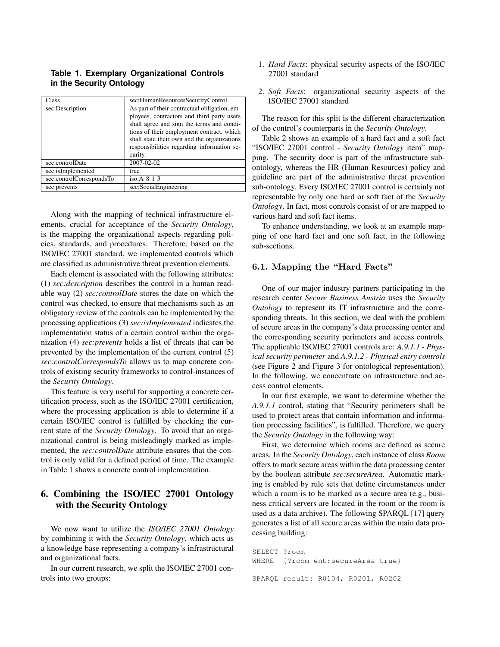## **Table 1. Exemplary Organizational Controls in the Security Ontology**

| Class                    | sec:HumanResourcesSecurityControl                                                                                                                                                                                                                                                            |
|--------------------------|----------------------------------------------------------------------------------------------------------------------------------------------------------------------------------------------------------------------------------------------------------------------------------------------|
| sec:Description          | As part of their contractual obligation, em-<br>ployees, contractors and third party users<br>shall agree and sign the terms and condi-<br>tions of their employment contract, which<br>shall state their own and the organizations<br>responsibilities regarding information se-<br>curity. |
| sec:controlDate          | 2007-02-02                                                                                                                                                                                                                                                                                   |
| sec:isImplemented        | true                                                                                                                                                                                                                                                                                         |
| sec:controlCorrespondsTo | iso: $A$ 8 1 3                                                                                                                                                                                                                                                                               |
| sec:prevents             | sec:SocialEngineering                                                                                                                                                                                                                                                                        |

Along with the mapping of technical infrastructure elements, crucial for acceptance of the *Security Ontology*, is the mapping the organizational aspects regarding policies, standards, and procedures. Therefore, based on the ISO/IEC 27001 standard, we implemented controls which are classified as administrative threat prevention elements.

Each element is associated with the following attributes: (1) *sec:description* describes the control in a human readable way (2) *sec:controlDate* stores the date on which the control was checked, to ensure that mechanisms such as an obligatory review of the controls can be implemented by the processing applications (3) *sec:isImplemented* indicates the implementation status of a certain control within the organization (4) *sec:prevents* holds a list of threats that can be prevented by the implementation of the current control (5) *sec:controlCorrespondsTo* allows us to map concrete controls of existing security frameworks to control-instances of the *Security Ontology*.

This feature is very useful for supporting a concrete certification process, such as the ISO/IEC 27001 certification, where the processing application is able to determine if a certain ISO/IEC control is fulfilled by checking the current state of the *Security Ontology*. To avoid that an organizational control is being misleadingly marked as implemented, the *sec:controlDate* attribute ensures that the control is only valid for a defined period of time. The example in Table 1 shows a concrete control implementation.

## 6. Combining the ISO/IEC 27001 Ontology with the Security Ontology

We now want to utilize the *ISO/IEC 27001 Ontology* by combining it with the *Security Ontology*, which acts as a knowledge base representing a company's infrastructural and organizational facts.

In our current research, we split the ISO/IEC 27001 controls into two groups:

- 1. *Hard Facts*: physical security aspects of the ISO/IEC 27001 standard
- 2. *Soft Facts*: organizational security aspects of the ISO/IEC 27001 standard

The reason for this split is the different characterization of the control's counterparts in the *Security Ontology*.

Table 2 shows an example of a hard fact and a soft fact "ISO/IEC 27001 control - *Security Ontology* item" mapping. The security door is part of the infrastructure subontology, whereas the HR (Human Resources) policy and guideline are part of the administrative threat prevention sub-ontology. Every ISO/IEC 27001 control is certainly not representable by only one hard or soft fact of the *Security Ontology*. In fact, most controls consist of or are mapped to various hard and soft fact items.

To enhance understanding, we look at an example mapping of one hard fact and one soft fact, in the following sub-sections.

## **6.1. Mapping the "Hard Facts"**

One of our major industry partners participating in the research center *Secure Business Austria* uses the *Security Ontology* to represent its IT infrastructure and the corresponding threats. In this section, we deal with the problem of secure areas in the company's data processing center and the corresponding security perimeters and access controls. The applicable ISO/IEC 27001 controls are: *A.9.1.1 - Physical security perimeter* and *A.9.1.2 - Physical entry controls* (see Figure 2 and Figure 3 for ontological representation). In the following, we concentrate on infrastructure and access control elements.

In our first example, we want to determine whether the *A.9.1.1* control, stating that "Security perimeters shall be used to protect areas that contain information and information processing facilities", is fulfilled. Therefore, we query the *Security Ontology* in the following way:

First, we determine which rooms are defined as secure areas. In the *Security Ontology*, each instance of class *Room* offers to mark secure areas within the data processing center by the boolean attribute *sec:secureArea*. Automatic marking is enabled by rule sets that define circumstances under which a room is to be marked as a secure area (e.g., business critical servers are located in the room or the room is used as a data archive). The following SPARQL [17] query generates a list of all secure areas within the main data processing building:

SELECT ?room WHERE {?room ent:secureArea true} SPARQL result: R0104, R0201, R0202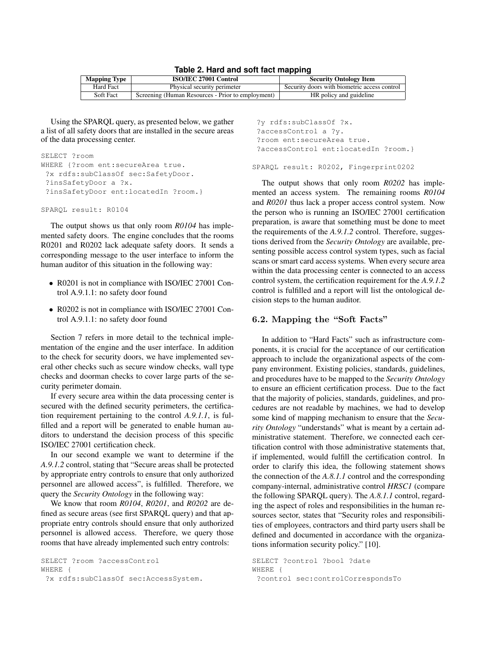| <b>Mapping Type</b> | <b>ISO/IEC 27001 Control</b>                      | <b>Security Ontology Item</b>                |  |  |
|---------------------|---------------------------------------------------|----------------------------------------------|--|--|
| Hard Fact           | Physical security perimeter                       | Security doors with biometric access control |  |  |
| Soft Fact           | Screening (Human Resources - Prior to employment) | HR policy and guideline                      |  |  |

**Table 2. Hard and soft fact mapping**

Using the SPARQL query, as presented below, we gather a list of all safety doors that are installed in the secure areas of the data processing center.

```
SELECT ?room
WHERE {?room ent:secureArea true.
 ?x rdfs:subClassOf sec:SafetyDoor.
 ?insSafetyDoor a ?x.
 ?insSafetyDoor ent:locatedIn ?room.}
```

```
SPARQL result: R0104
```
The output shows us that only room *R0104* has implemented safety doors. The engine concludes that the rooms R0201 and R0202 lack adequate safety doors. It sends a corresponding message to the user interface to inform the human auditor of this situation in the following way:

- R0201 is not in compliance with ISO/IEC 27001 Control A.9.1.1: no safety door found
- R0202 is not in compliance with ISO/IEC 27001 Control A.9.1.1: no safety door found

Section 7 refers in more detail to the technical implementation of the engine and the user interface. In addition to the check for security doors, we have implemented several other checks such as secure window checks, wall type checks and doorman checks to cover large parts of the security perimeter domain.

If every secure area within the data processing center is secured with the defined security perimeters, the certification requirement pertaining to the control *A.9.1.1*, is fulfilled and a report will be generated to enable human auditors to understand the decision process of this specific ISO/IEC 27001 certification check.

In our second example we want to determine if the *A.9.1.2* control, stating that "Secure areas shall be protected by appropriate entry controls to ensure that only authorized personnel are allowed access", is fulfilled. Therefore, we query the *Security Ontology* in the following way:

We know that room *R0104*, *R0201*, and *R0202* are defined as secure areas (see first SPARQL query) and that appropriate entry controls should ensure that only authorized personnel is allowed access. Therefore, we query those rooms that have already implemented such entry controls:

SELECT ?room ?accessControl WHERE {

?x rdfs:subClassOf sec:AccessSystem.

?y rdfs:subClassOf ?x. ?accessControl a ?y. ?room ent:secureArea true. ?accessControl ent:locatedIn ?room.} SPARQL result: R0202, Fingerprint0202

The output shows that only room *R0202* has implemented an access system. The remaining rooms *R0104* and *R0201* thus lack a proper access control system. Now the person who is running an ISO/IEC 27001 certification preparation, is aware that something must be done to meet the requirements of the *A.9.1.2* control. Therefore, suggestions derived from the *Security Ontology* are available, presenting possible access control system types, such as facial scans or smart card access systems. When every secure area within the data processing center is connected to an access control system, the certification requirement for the *A.9.1.2* control is fulfilled and a report will list the ontological decision steps to the human auditor.

## **6.2. Mapping the "Soft Facts"**

In addition to "Hard Facts" such as infrastructure components, it is crucial for the acceptance of our certification approach to include the organizational aspects of the company environment. Existing policies, standards, guidelines, and procedures have to be mapped to the *Security Ontology* to ensure an efficient certification process. Due to the fact that the majority of policies, standards, guidelines, and procedures are not readable by machines, we had to develop some kind of mapping mechanism to ensure that the *Security Ontology* "understands" what is meant by a certain administrative statement. Therefore, we connected each certification control with those administrative statements that, if implemented, would fulfill the certification control. In order to clarify this idea, the following statement shows the connection of the *A.8.1.1* control and the corresponding company-internal, administrative control *HRSC1* (compare the following SPARQL query). The *A.8.1.1* control, regarding the aspect of roles and responsibilities in the human resources sector, states that "Security roles and responsibilities of employees, contractors and third party users shall be defined and documented in accordance with the organizations information security policy." [10].

SELECT ?control ?bool ?date WHERE { ?control sec:controlCorrespondsTo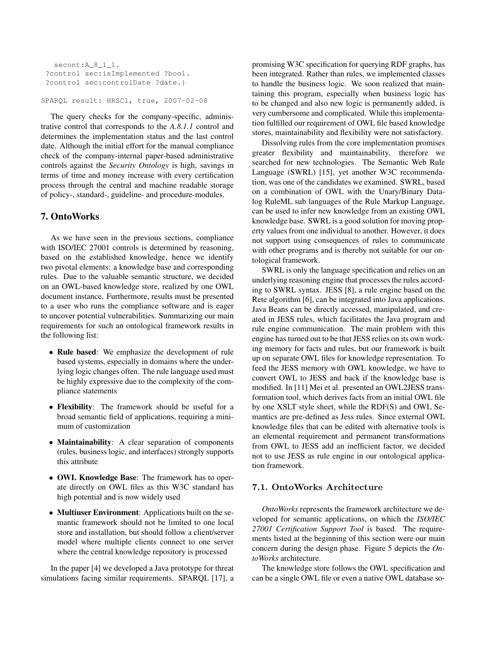```
secont:A 8 1 1.
?control sec:isImplemented ?bool.
?control sec:controlDate ?date.}
```
SPARQL result: HRSC1, true, 2007-02-08

The query checks for the company-specific, administrative control that corresponds to the *A.8.1.1* control and determines the implementation status and the last control date. Although the initial effort for the manual compliance check of the company-internal paper-based administrative controls against the *Security Ontology* is high, savings in terms of time and money increase with every certification process through the central and machine readable storage of policy-, standard-, guideline- and procedure-modules.

## 7. OntoWorks

As we have seen in the previous sections, compliance with ISO/IEC 27001 controls is determined by reasoning, based on the established knowledge, hence we identify two pivotal elements: a knowledge base and corresponding rules. Due to the valuable semantic structure, we decided on an OWL-based knowledge store, realized by one OWL document instance. Furthermore, results must be presented to a user who runs the compliance software and is eager to uncover potential vulnerabilities. Summarizing our main requirements for such an ontological framework results in the following list:

- Rule based: We emphasize the development of rule based systems, especially in domains where the underlying logic changes often. The rule language used must be highly expressive due to the complexity of the compliance statements
- Flexibility: The framework should be useful for a broad semantic field of applications, requiring a minimum of customization
- Maintainability: A clear separation of components (rules, business logic, and interfaces) strongly supports this attribute
- OWL Knowledge Base: The framework has to operate directly on OWL files as this W3C standard has high potential and is now widely used
- Multiuser Environment: Applications built on the semantic framework should not be limited to one local store and installation, but should follow a client/server model where multiple clients connect to one server where the central knowledge repository is processed

In the paper [4] we developed a Java prototype for threat simulations facing similar requirements. SPARQL [17], a

promising W3C specification for querying RDF graphs, has been integrated. Rather than rules, we implemented classes to handle the business logic. We soon realized that maintaining this program, especially when business logic has to be changed and also new logic is permanently added, is very cumbersome and complicated. While this implementation fulfilled our requirement of OWL file based knowledge stores, maintainability and flexibility were not satisfactory.

Dissolving rules from the core implementation promises greater flexibility and maintainability, therefore we searched for new technologies. The Semantic Web Rule Language (SWRL) [15], yet another W3C recommendation, was one of the candidates we examined. SWRL, based on a combination of OWL with the Unary/Binary Datalog RuleML sub languages of the Rule Markup Language, can be used to infer new knowledge from an existing OWL knowledge base. SWRL is a good solution for moving property values from one individual to another. However, it does not support using consequences of rules to communicate with other programs and is thereby not suitable for our ontological framework.

SWRL is only the language specification and relies on an underlying reasoning engine that processes the rules according to SWRL syntax. JESS [8], a rule engine based on the Rete algorithm [6], can be integrated into Java applications. Java Beans can be directly accessed, manipulated, and created in JESS rules, which facilitates the Java program and rule engine communication. The main problem with this engine has turned out to be that JESS relies on its own working memory for facts and rules, but our framework is built up on separate OWL files for knowledge representation. To feed the JESS memory with OWL knowledge, we have to convert OWL to JESS and back if the knowledge base is modified. In [11] Mei et al. presented an OWL2JESS transformation tool, which derives facts from an initial OWL file by one XSLT style sheet, while the RDF(S) and OWL Semantics are pre-defined as Jess rules. Since external OWL knowledge files that can be edited with alternative tools is an elemental requirement and permanent transformations from OWL to JESS add an inefficient factor, we decided not to use JESS as rule engine in our ontological application framework.

#### **7.1. OntoWorks Architecture**

*OntoWorks* represents the framework architecture we developed for semantic applications, on which the *ISO/IEC 27001 Certification Support Tool* is based. The requirements listed at the beginning of this section were our main concern during the design phase. Figure 5 depicts the *OntoWorks* architecture.

The knowledge store follows the OWL specification and can be a single OWL file or even a native OWL database so-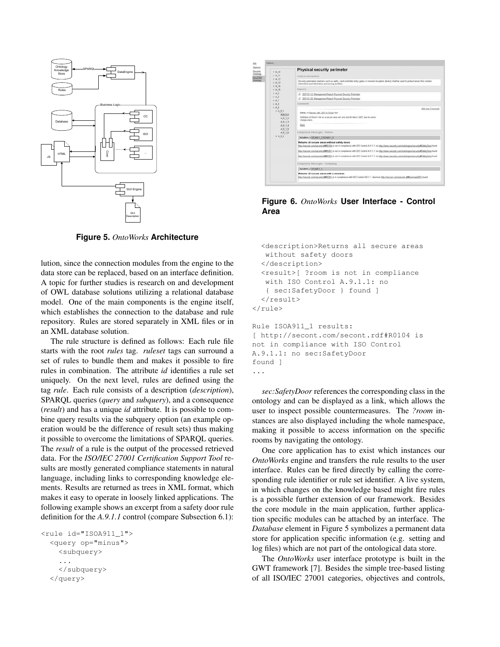

**Figure 5.** *OntoWorks* **Architecture**

lution, since the connection modules from the engine to the data store can be replaced, based on an interface definition. A topic for further studies is research on and development of OWL database solutions utilizing a relational database model. One of the main components is the engine itself, which establishes the connection to the database and rule repository. Rules are stored separately in XML files or in an XML database solution.

The rule structure is defined as follows: Each rule file starts with the root *rules* tag. *ruleset* tags can surround a set of rules to bundle them and makes it possible to fire rules in combination. The attribute *id* identifies a rule set uniquely. On the next level, rules are defined using the tag *rule*. Each rule consists of a description (*description*), SPARQL queries (*query* and *subquery*), and a consequence (*result*) and has a unique *id* attribute. It is possible to combine query results via the subquery option (an example operation would be the difference of result sets) thus making it possible to overcome the limitations of SPARQL queries. The *result* of a rule is the output of the processed retrieved data. For the *ISO/IEC 27001 Certification Support Tool* results are mostly generated compliance statements in natural language, including links to corresponding knowledge elements. Results are returned as trees in XML format, which makes it easy to operate in loosely linked applications. The following example shows an excerpt from a safety door rule definition for the *A.9.1.1* control (compare Subsection 6.1):

```
<rule id="ISOA911_1">
  <query op="minus">
    <subquery>
    ...
    </subquery>
  </query>
```


**Figure 6.** *OntoWorks* **User Interface - Control Area**

```
<description>Returns all secure areas
   without safety doors
  </description>
  <result>[ ?room is not in compliance
   with ISO Control A.9.1.1: no
   { sec:SafetyDoor } found ]
  </result>
\langlerule>
Rule ISOA911 1 results:
[ http://secont.com/secont.rdf#R0104 is
not in compliance with ISO Control
A.9.1.1: no sec:SafetyDoor
found ]
```
...

*sec:SafetyDoor* references the corresponding class in the ontology and can be displayed as a link, which allows the user to inspect possible countermeasures. The *?room* instances are also displayed including the whole namespace, making it possible to access information on the specific rooms by navigating the ontology.

One core application has to exist which instances our *OntoWorks* engine and transfers the rule results to the user interface. Rules can be fired directly by calling the corresponding rule identifier or rule set identifier. A live system, in which changes on the knowledge based might fire rules is a possible further extension of our framework. Besides the core module in the main application, further application specific modules can be attached by an interface. The *Database* element in Figure 5 symbolizes a permanent data store for application specific information (e.g. setting and log files) which are not part of the ontological data store.

The *OntoWorks* user interface prototype is built in the GWT framework [7]. Besides the simple tree-based listing of all ISO/IEC 27001 categories, objectives and controls,